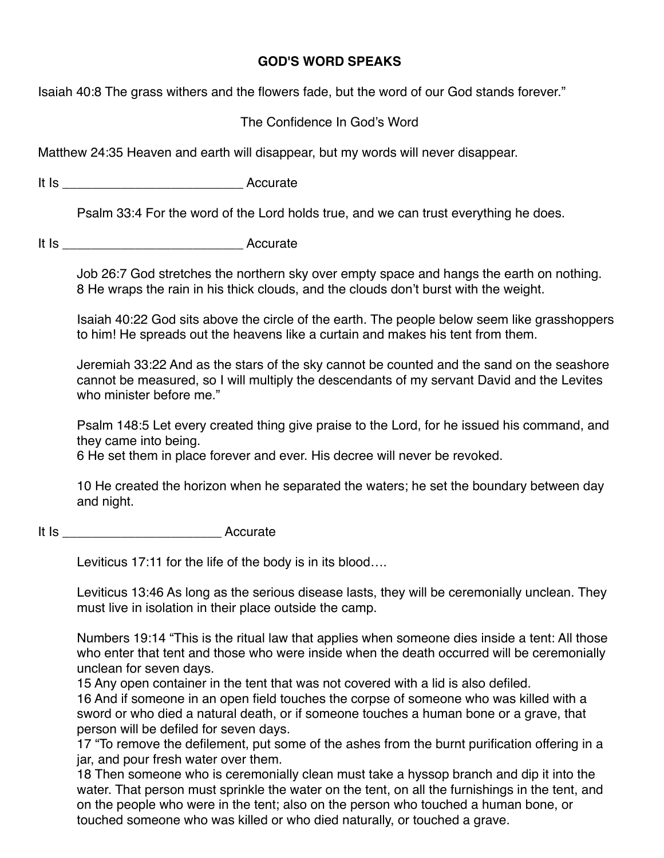## **GOD'S WORD SPEAKS**

Isaiah 40:8 The grass withers and the flowers fade, but the word of our God stands forever."

## The Confidence In God's Word

Matthew 24:35 Heaven and earth will disappear, but my words will never disappear.

It Is \_\_\_\_\_\_\_\_\_\_\_\_\_\_\_\_\_\_\_\_\_\_\_\_\_ Accurate

Psalm 33:4 For the word of the Lord holds true, and we can trust everything he does.

It Is \_\_\_\_\_\_\_\_\_\_\_\_\_\_\_\_\_\_\_\_\_\_\_\_\_ Accurate

Job 26:7 God stretches the northern sky over empty space and hangs the earth on nothing. 8 He wraps the rain in his thick clouds, and the clouds don't burst with the weight.

Isaiah 40:22 God sits above the circle of the earth. The people below seem like grasshoppers to him! He spreads out the heavens like a curtain and makes his tent from them.

Jeremiah 33:22 And as the stars of the sky cannot be counted and the sand on the seashore cannot be measured, so I will multiply the descendants of my servant David and the Levites who minister before me."

Psalm 148:5 Let every created thing give praise to the Lord, for he issued his command, and they came into being.

6 He set them in place forever and ever. His decree will never be revoked.

10 He created the horizon when he separated the waters; he set the boundary between day and night.

It Is **Accurate** 

Leviticus 17:11 for the life of the body is in its blood….

Leviticus 13:46 As long as the serious disease lasts, they will be ceremonially unclean. They must live in isolation in their place outside the camp.

Numbers 19:14 "This is the ritual law that applies when someone dies inside a tent: All those who enter that tent and those who were inside when the death occurred will be ceremonially unclean for seven days.

15 Any open container in the tent that was not covered with a lid is also defiled.

16 And if someone in an open field touches the corpse of someone who was killed with a sword or who died a natural death, or if someone touches a human bone or a grave, that person will be defiled for seven days.

17 "To remove the defilement, put some of the ashes from the burnt purification offering in a jar, and pour fresh water over them.

18 Then someone who is ceremonially clean must take a hyssop branch and dip it into the water. That person must sprinkle the water on the tent, on all the furnishings in the tent, and on the people who were in the tent; also on the person who touched a human bone, or touched someone who was killed or who died naturally, or touched a grave.